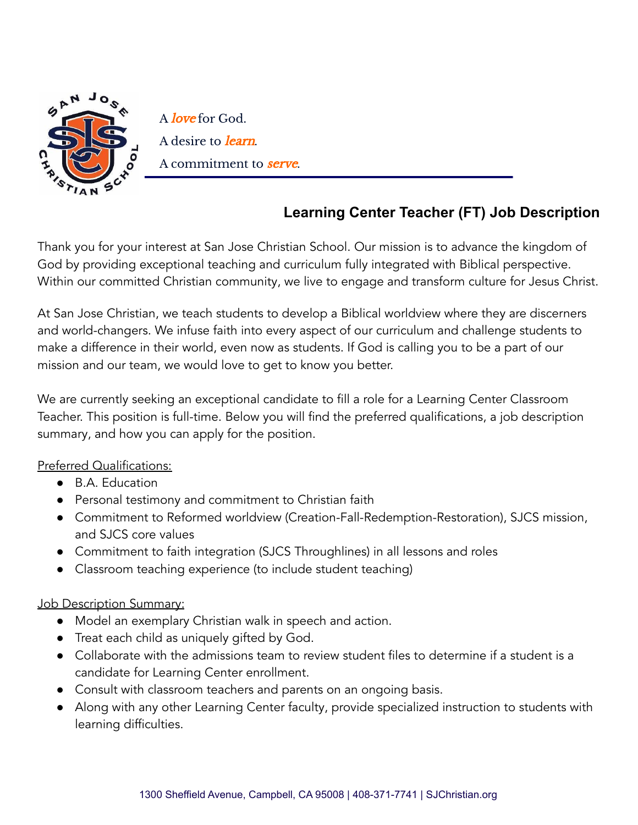

A love for God. A desire to *learn*. A commitment to serve.

## **Learning Center Teacher (FT) Job Description**

Thank you for your interest at San Jose Christian School. Our mission is to advance the kingdom of God by providing exceptional teaching and curriculum fully integrated with Biblical perspective. Within our committed Christian community, we live to engage and transform culture for Jesus Christ.

At San Jose Christian, we teach students to develop a Biblical worldview where they are discerners and world-changers. We infuse faith into every aspect of our curriculum and challenge students to make a difference in their world, even now as students. If God is calling you to be a part of our mission and our team, we would love to get to know you better.

We are currently seeking an exceptional candidate to fill a role for a Learning Center Classroom Teacher. This position is full-time. Below you will find the preferred qualifications, a job description summary, and how you can apply for the position.

## Preferred Qualifications:

- B.A. Education
- Personal testimony and commitment to Christian faith
- Commitment to Reformed worldview (Creation-Fall-Redemption-Restoration), SJCS mission, and SJCS core values
- Commitment to faith integration (SJCS Throughlines) in all lessons and roles
- Classroom teaching experience (to include student teaching)

## Job Description Summary:

- Model an exemplary Christian walk in speech and action.
- Treat each child as uniquely gifted by God.
- $\bullet$  Collaborate with the admissions team to review student files to determine if a student is a candidate for Learning Center enrollment.
- Consult with classroom teachers and parents on an ongoing basis.
- Along with any other Learning Center faculty, provide specialized instruction to students with learning difficulties.